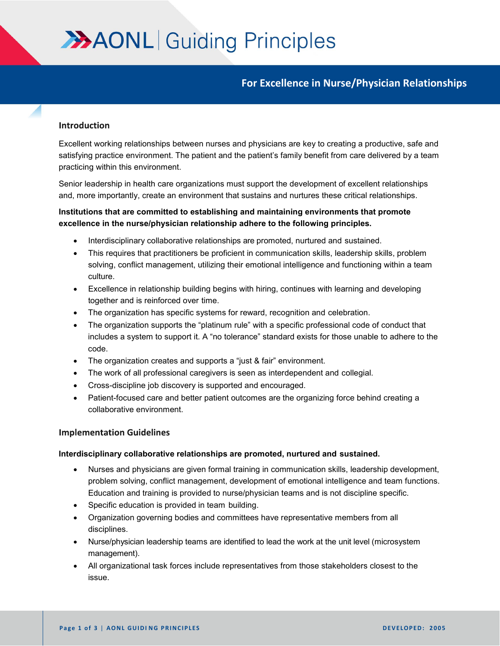# **AAONL** Guiding Principles

# **For Excellence in Nurse/Physician Relationships**

#### **Introduction**

Excellent working relationships between nurses and physicians are key to creating a productive, safe and satisfying practice environment. The patient and the patient's family benefit from care delivered by a team practicing within this environment.

Senior leadership in health care organizations must support the development of excellent relationships and, more importantly, create an environment that sustains and nurtures these critical relationships.

## **Institutions that are committed to establishing and maintaining environments that promote excellence in the nurse/physician relationship adhere to the following principles.**

- Interdisciplinary collaborative relationships are promoted, nurtured and sustained.
- This requires that practitioners be proficient in communication skills, leadership skills, problem solving, conflict management, utilizing their emotional intelligence and functioning within a team culture.
- Excellence in relationship building begins with hiring, continues with learning and developing together and is reinforced over time.
- The organization has specific systems for reward, recognition and celebration.
- The organization supports the "platinum rule" with a specific professional code of conduct that includes a system to support it. A "no tolerance" standard exists for those unable to adhere to the code.
- The organization creates and supports a "just & fair" environment.
- The work of all professional caregivers is seen as interdependent and collegial.
- Cross-discipline job discovery is supported and encouraged.
- Patient-focused care and better patient outcomes are the organizing force behind creating a collaborative environment.

#### **Implementation Guidelines**

#### **Interdisciplinary collaborative relationships are promoted, nurtured and sustained.**

- Nurses and physicians are given formal training in communication skills, leadership development, problem solving, conflict management, development of emotional intelligence and team functions. Education and training is provided to nurse/physician teams and is not discipline specific.
- Specific education is provided in team building.
- Organization governing bodies and committees have representative members from all disciplines.
- Nurse/physician leadership teams are identified to lead the work at the unit level (microsystem management).
- All organizational task forces include representatives from those stakeholders closest to the issue.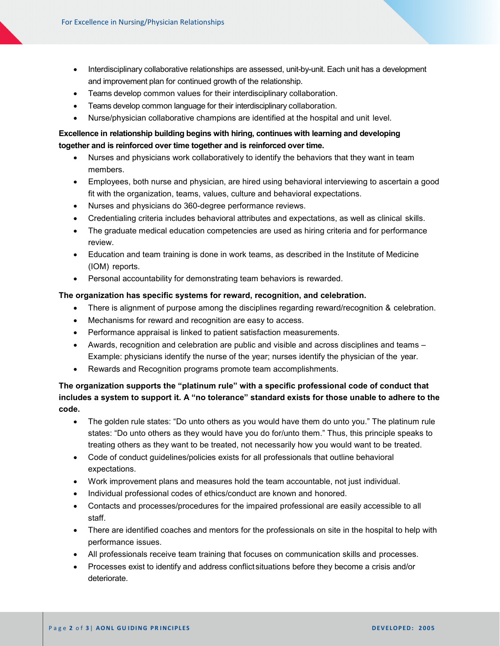- Interdisciplinary collaborative relationships are assessed, unit-by-unit. Each unit has a development and improvement plan for continued growth of the relationship.
- Teams develop common values for their interdisciplinary collaboration.
- Teams develop common language for their interdisciplinary collaboration.
- Nurse/physician collaborative champions are identified at the hospital and unit level.

### **Excellence in relationship building begins with hiring, continues with learning and developing together and is reinforced over time together and is reinforced over time.**

- Nurses and physicians work collaboratively to identify the behaviors that they want in team members.
- Employees, both nurse and physician, are hired using behavioral interviewing to ascertain a good fit with the organization, teams, values, culture and behavioral expectations.
- Nurses and physicians do 360-degree performance reviews.
- Credentialing criteria includes behavioral attributes and expectations, as well as clinical skills.
- The graduate medical education competencies are used as hiring criteria and for performance review.
- Education and team training is done in work teams, as described in the Institute of Medicine (IOM) reports.
- Personal accountability for demonstrating team behaviors is rewarded.

#### **The organization has specific systems for reward, recognition, and celebration.**

- There is alignment of purpose among the disciplines regarding reward/recognition & celebration.
- Mechanisms for reward and recognition are easy to access.
- Performance appraisal is linked to patient satisfaction measurements.
- Awards, recognition and celebration are public and visible and across disciplines and teams Example: physicians identify the nurse of the year; nurses identify the physician of the year.
- Rewards and Recognition programs promote team accomplishments.

## **The organization supports the "platinum rule" with a specific professional code of conduct that includes a system to support it. A "no tolerance" standard exists for those unable to adhere to the code.**

- The golden rule states: "Do unto others as you would have them do unto you." The platinum rule states: "Do unto others as they would have you do for/unto them." Thus, this principle speaks to treating others as they want to be treated, not necessarily how you would want to be treated.
- Code of conduct guidelines/policies exists for all professionals that outline behavioral expectations.
- Work improvement plans and measures hold the team accountable, not just individual.
- Individual professional codes of ethics/conduct are known and honored.
- Contacts and processes/procedures for the impaired professional are easily accessible to all staff.
- There are identified coaches and mentors for the professionals on site in the hospital to help with performance issues.
- All professionals receive team training that focuses on communication skills and processes.
- Processes exist to identify and address conflictsituations before they become a crisis and/or deteriorate.